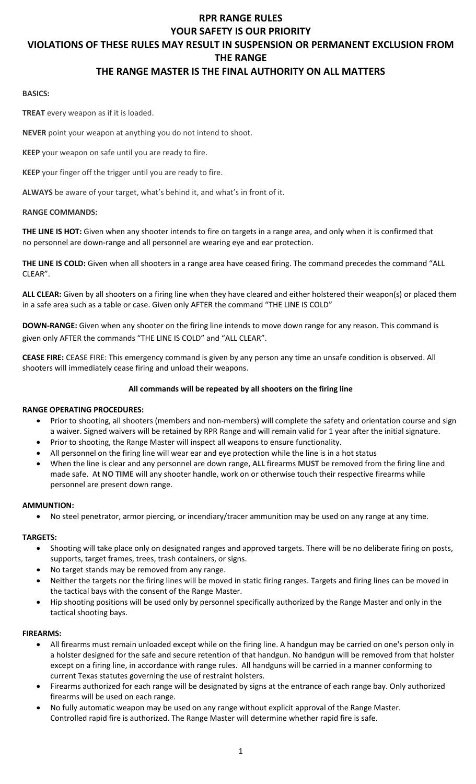#### **RPR RANGE RULES YOUR SAFETY IS OUR PRIORITY**

#### **VIOLATIONS OF THESE RULES MAY RESULT IN SUSPENSION OR PERMANENT EXCLUSION FROM**

**THE RANGE**

# **THE RANGE MASTER IS THE FINAL AUTHORITY ON ALL MATTERS**

#### **BASICS:**

**TREAT** every weapon as if it is loaded.

**NEVER** point your weapon at anything you do not intend to shoot.

**KEEP** your weapon on safe until you are ready to fire.

**KEEP** your finger off the trigger until you are ready to fire.

**ALWAYS** be aware of your target, what's behind it, and what's in front of it.

### **RANGE COMMANDS:**

**THE LINE IS HOT:** Given when any shooter intends to fire on targets in a range area, and only when it is confirmed that no personnel are down-range and all personnel are wearing eye and ear protection.

**THE LINE IS COLD:** Given when all shooters in a range area have ceased firing. The command precedes the command "ALL CLEAR".

**ALL CLEAR:** Given by all shooters on a firing line when they have cleared and either holstered their weapon(s) or placed them in a safe area such as a table or case. Given only AFTER the command "THE LINE IS COLD"

**DOWN-RANGE:** Given when any shooter on the firing line intends to move down range for any reason. This command is given only AFTER the commands "THE LINE IS COLD" and "ALL CLEAR".

**CEASE FIRE:** CEASE FIRE: This emergency command is given by any person any time an unsafe condition is observed. All shooters will immediately cease firing and unload their weapons.

# **All commands will be repeated by all shooters on the firing line**

# **RANGE OPERATING PROCEDURES:**

- Prior to shooting, all shooters (members and non-members) will complete the safety and orientation course and sign a waiver. Signed waivers will be retained by RPR Range and will remain valid for 1 year after the initial signature.
- Prior to shooting, the Range Master will inspect all weapons to ensure functionality.
- All personnel on the firing line will wear ear and eye protection while the line is in a hot status
- When the line is clear and any personnel are down range, **ALL** firearms **MUST** be removed from the firing line and made safe. At **NO TIME** will any shooter handle, work on or otherwise touch their respective firearms while personnel are present down range.

#### **AMMUNTION:**

No steel penetrator, armor piercing, or incendiary/tracer ammunition may be used on any range at any time.

# **TARGETS:**

- Shooting will take place only on designated ranges and approved targets. There will be no deliberate firing on posts, supports, target frames, trees, trash containers, or signs.
- No target stands may be removed from any range.
- Neither the targets nor the firing lines will be moved in static firing ranges. Targets and firing lines can be moved in the tactical bays with the consent of the Range Master.
- Hip shooting positions will be used only by personnel specifically authorized by the Range Master and only in the tactical shooting bays.

# **FIREARMS:**

- All firearms must remain unloaded except while on the firing line. A handgun may be carried on one's person only in a holster designed for the safe and secure retention of that handgun. No handgun will be removed from that holster except on a firing line, in accordance with range rules. All handguns will be carried in a manner conforming to current Texas statutes governing the use of restraint holsters.
- Firearms authorized for each range will be designated by signs at the entrance of each range bay. Only authorized firearms will be used on each range.
- No fully automatic weapon may be used on any range without explicit approval of the Range Master. Controlled rapid fire is authorized. The Range Master will determine whether rapid fire is safe.